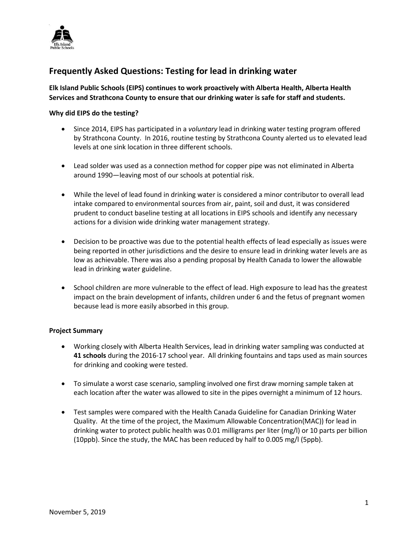

# **Frequently Asked Questions: Testing for lead in drinking water**

**Elk Island Public Schools (EIPS) continues to work proactively with Alberta Health, Alberta Health Services and Strathcona County to ensure that our drinking water is safe for staff and students.** 

## **Why did EIPS do the testing?**

- Since 2014, EIPS has participated in a *voluntary* lead in drinking water testing program offered by Strathcona County. In 2016, routine testing by Strathcona County alerted us to elevated lead levels at one sink location in three different schools.
- Lead solder was used as a connection method for copper pipe was not eliminated in Alberta around 1990—leaving most of our schools at potential risk.
- While the level of lead found in drinking water is considered a minor contributor to overall lead intake compared to environmental sources from air, paint, soil and dust, it was considered prudent to conduct baseline testing at all locations in EIPS schools and identify any necessary actions for a division wide drinking water management strategy.
- Decision to be proactive was due to the potential health effects of lead especially as issues were being reported in other jurisdictions and the desire to ensure lead in drinking water levels are as low as achievable. There was also a pending proposal by Health Canada to lower the allowable lead in drinking water guideline.
- School children are more vulnerable to the effect of lead. High exposure to lead has the greatest impact on the brain development of infants, children under 6 and the fetus of pregnant women because lead is more easily absorbed in this group.

#### **Project Summary**

- Working closely with Alberta Health Services, lead in drinking water sampling was conducted at **41 schools** during the 2016-17 school year. All drinking fountains and taps used as main sources for drinking and cooking were tested.
- To simulate a worst case scenario, sampling involved one first draw morning sample taken at each location after the water was allowed to site in the pipes overnight a minimum of 12 hours.
- Test samples were compared with the Health Canada Guideline for Canadian Drinking Water Quality. At the time of the project, the Maximum Allowable Concentration(MAC)) for lead in drinking water to protect public health was 0.01 milligrams per liter (mg/l) or 10 parts per billion (10ppb). Since the study, the MAC has been reduced by half to 0.005 mg/l (5ppb).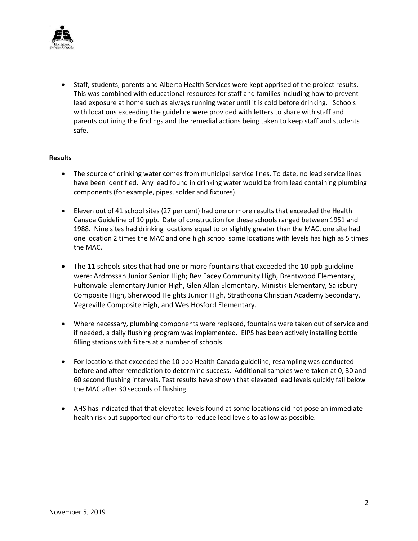

• Staff, students, parents and Alberta Health Services were kept apprised of the project results. This was combined with educational resources for staff and families including how to prevent lead exposure at home such as always running water until it is cold before drinking. Schools with locations exceeding the guideline were provided with letters to share with staff and parents outlining the findings and the remedial actions being taken to keep staff and students safe.

## **Results**

- The source of drinking water comes from municipal service lines. To date, no lead service lines have been identified. Any lead found in drinking water would be from lead containing plumbing components (for example, pipes, solder and fixtures).
- Eleven out of 41 school sites (27 per cent) had one or more results that exceeded the Health Canada Guideline of 10 ppb. Date of construction for these schools ranged between 1951 and 1988. Nine sites had drinking locations equal to or slightly greater than the MAC, one site had one location 2 times the MAC and one high school some locations with levels has high as 5 times the MAC.
- The 11 schools sites that had one or more fountains that exceeded the 10 ppb guideline were: Ardrossan Junior Senior High; Bev Facey Community High, Brentwood Elementary, Fultonvale Elementary Junior High, Glen Allan Elementary, Ministik Elementary, Salisbury Composite High, Sherwood Heights Junior High, Strathcona Christian Academy Secondary, Vegreville Composite High, and Wes Hosford Elementary.
- Where necessary, plumbing components were replaced, fountains were taken out of service and if needed, a daily flushing program was implemented. EIPS has been actively installing bottle filling stations with filters at a number of schools.
- For locations that exceeded the 10 ppb Health Canada guideline, resampling was conducted before and after remediation to determine success. Additional samples were taken at 0, 30 and 60 second flushing intervals. Test results have shown that elevated lead levels quickly fall below the MAC after 30 seconds of flushing.
- AHS has indicated that that elevated levels found at some locations did not pose an immediate health risk but supported our efforts to reduce lead levels to as low as possible.